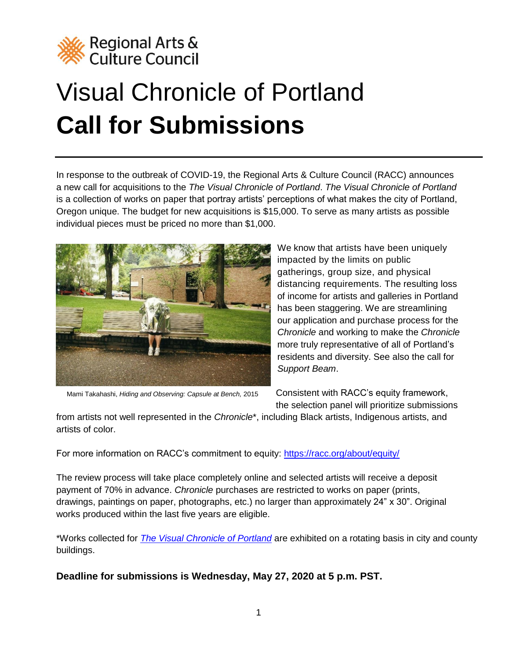

# Visual Chronicle of Portland **Call for Submissions**

In response to the outbreak of COVID-19, the Regional Arts & Culture Council (RACC) announces a new call for acquisitions to the *The Visual Chronicle of Portland*. *The Visual Chronicle of Portland* is a collection of works on paper that portray artists' perceptions of what makes the city of Portland, Oregon unique. The budget for new acquisitions is \$15,000. To serve as many artists as possible individual pieces must be priced no more than \$1,000.



We know that artists have been uniquely impacted by the limits on public gatherings, group size, and physical distancing requirements. The resulting loss of income for artists and galleries in Portland has been staggering. We are streamlining our application and purchase process for the *Chronicle* and working to make the *Chronicle* more truly representative of all of Portland's residents and diversity. See also the call for *Support Beam*.

Mami Takahashi, *Hiding and Observing: Capsule at Bench,* 2015

Consistent with RACC's equity framework, the selection panel will prioritize submissions

from artists not well represented in the *Chronicle*\*, including Black artists, Indigenous artists, and artists of color.

For more information on RACC's commitment to equity:<https://racc.org/about/equity/>

The review process will take place completely online and selected artists will receive a deposit payment of 70% in advance. *Chronicle* purchases are restricted to works on paper (prints, drawings, paintings on paper, photographs, etc.) no larger than approximately 24" x 30". Original works produced within the last five years are eligible.

\*Works collected for *[The Visual Chronicle of Portland](http://raccpublicart.org/collection/5e68779b8fe3b075b4863e10)* are exhibited on a rotating basis in city and county buildings.

**Deadline for submissions is Wednesday, May 27, 2020 at 5 p.m. PST.**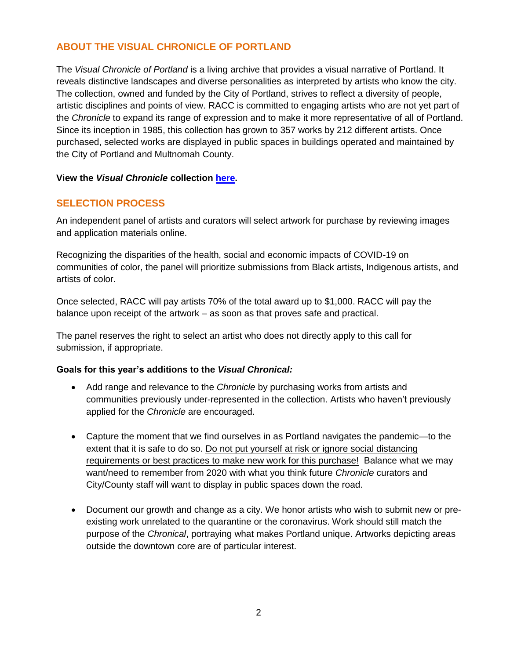# **ABOUT THE VISUAL CHRONICLE OF PORTLAND**

The *Visual Chronicle of Portland* is a living archive that provides a visual narrative of Portland. It reveals distinctive landscapes and diverse personalities as interpreted by artists who know the city. The collection, owned and funded by the City of Portland, strives to reflect a diversity of people, artistic disciplines and points of view. RACC is committed to engaging artists who are not yet part of the *Chronicle* to expand its range of expression and to make it more representative of all of Portland. Since its inception in 1985, this collection has grown to 357 works by 212 different artists. Once purchased, selected works are displayed in public spaces in buildings operated and maintained by the City of Portland and Multnomah County.

## **View the** *Visual Chronicle* **collection [here.](http://raccpublicart.org/collection/5e68779b8fe3b075b4863e10)**

# **SELECTION PROCESS**

An independent panel of artists and curators will select artwork for purchase by reviewing images and application materials online.

Recognizing the disparities of the health, social and economic impacts of COVID-19 on communities of color, the panel will prioritize submissions from Black artists, Indigenous artists, and artists of color.

Once selected, RACC will pay artists 70% of the total award up to \$1,000. RACC will pay the balance upon receipt of the artwork – as soon as that proves safe and practical.

The panel reserves the right to select an artist who does not directly apply to this call for submission, if appropriate.

## **Goals for this year's additions to the** *Visual Chronical:*

- Add range and relevance to the *Chronicle* by purchasing works from artists and communities previously under-represented in the collection. Artists who haven't previously applied for the *Chronicle* are encouraged.
- Capture the moment that we find ourselves in as Portland navigates the pandemic—to the extent that it is safe to do so. Do not put yourself at risk or ignore social distancing requirements or best practices to make new work for this purchase! Balance what we may want/need to remember from 2020 with what you think future *Chronicle* curators and City/County staff will want to display in public spaces down the road.
- Document our growth and change as a city. We honor artists who wish to submit new or preexisting work unrelated to the quarantine or the coronavirus. Work should still match the purpose of the *Chronical*, portraying what makes Portland unique. Artworks depicting areas outside the downtown core are of particular interest.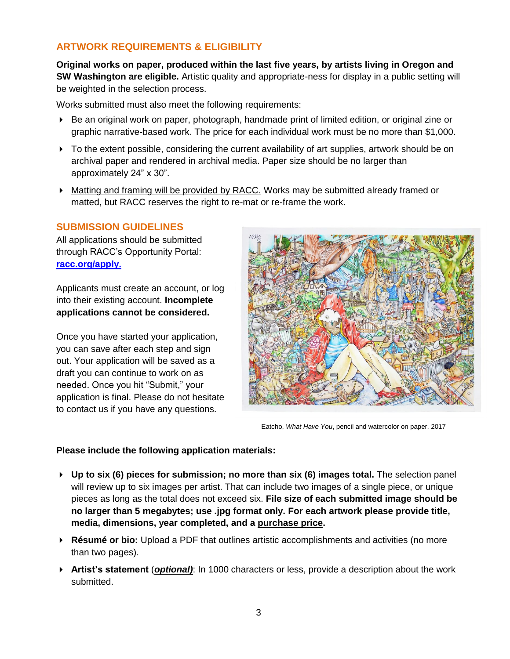# **ARTWORK REQUIREMENTS & ELIGIBILITY**

**Original works on paper, produced within the last five years, by artists living in Oregon and SW Washington are eligible.** Artistic quality and appropriate-ness for display in a public setting will be weighted in the selection process.

Works submitted must also meet the following requirements:

- Be an original work on paper, photograph, handmade print of limited edition, or original zine or graphic narrative-based work. The price for each individual work must be no more than \$1,000.
- $\triangleright$  To the extent possible, considering the current availability of art supplies, artwork should be on archival paper and rendered in archival media. Paper size should be no larger than approximately 24" x 30".
- Matting and framing will be provided by RACC. Works may be submitted already framed or matted, but RACC reserves the right to re-mat or re-frame the work.

#### **SUBMISSION GUIDELINES**

All applications should be submitted through RACC's Opportunity Portal: **[racc.org/apply.](http://www.racc.smapply.org/)** 

Applicants must create an account, or log into their existing account. **Incomplete applications cannot be considered.** 

Once you have started your application, you can save after each step and sign out. Your application will be saved as a draft you can continue to work on as needed. Once you hit "Submit," your application is final. Please do not hesitate to contact us if you have any questions.



Eatcho, *What Have You*, pencil and watercolor on paper, 2017

#### **Please include the following application materials:**

- **Up to six (6) pieces for submission; no more than six (6) images total.** The selection panel will review up to six images per artist. That can include two images of a single piece, or unique pieces as long as the total does not exceed six. **File size of each submitted image should be no larger than 5 megabytes; use .jpg format only. For each artwork please provide title, media, dimensions, year completed, and a purchase price.**
- **Résumé or bio:** Upload a PDF that outlines artistic accomplishments and activities (no more than two pages).
- **Artist's statement** (*optional)*: In 1000 characters or less, provide a description about the work submitted.